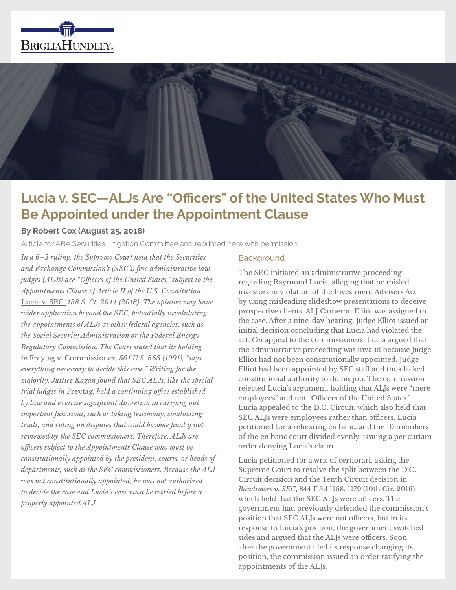



# **Lucia v. SEC—ALJs Are "Officers" of the United States Who Must Be Appointed under the Appointment Clause**

### **By Robert Cox (August 25, 2018)**

Article for ABA Securities Litigation Committee and reprinted here with permission.

*In a 6–3 ruling, the Supreme Court held that the Securities and Exchange Commission's (SEC's) five administrative law judges (ALJs) are "Officers of the United States," subject to the Appointments Clause of Article II of the U.S. Constitution.*  Lucia v. SEC*, 138 S. Ct. 2044 (2018). The opinion may have wider application beyond the SEC, potentially invalidating the appointments of ALJs at other federal agencies, such as the Social Security Administration or the Federal Energy Regulatory Commission. The Court stated that its holding in* Freytag v. Commissioner*, 501 U.S. 868 (1991), "says everything necessary to decide this case." Writing for the majority, Justice Kagan found that SEC ALJs, like the special trial judges in* Freytag*, hold a continuing office established by law and exercise significant discretion in carrying out important functions, such as taking testimony, conducting trials, and ruling on disputes that could become final if not reviewed by the SEC commissioners. Therefore, ALJs are officers subject to the Appointments Clause who must be constitutionally appointed by the president, courts, or heads of departments, such as the SEC commissioners. Because the ALJ was not constitutionally appointed, he was not authorized to decide the case and Lucia's case must be retried before a properly appointed ALJ.*

#### **Background**

The SEC initiated an administrative proceeding regarding Raymond Lucia, alleging that he misled investors in violation of the Investment Advisers Act by using misleading slideshow presentations to deceive prospective clients. ALJ Cameron Elliot was assigned to the case. After a nine-day hearing, Judge Elliot issued an initial decision concluding that Lucia had violated the act. On appeal to the commissioners, Lucia argued that the administrative proceeding was invalid because Judge Elliot had not been constitutionally appointed. Judge Elliot had been appointed by SEC staff and thus lacked constitutional authority to do his job. The commission rejected Lucia's argument, holding that ALJs were "mere employees" and not "Officers of the United States." Lucia appealed to the D.C. Circuit, which also held that SEC ALJs were employees rather than officers. Lucia petitioned for a rehearing en banc, and the 10 members of the en banc court divided evenly, issuing a per curiam order denying Lucia's claim.

Lucia petitioned for a writ of certiorari, asking the Supreme Court to resolve the split between the D.C. Circuit decision and the Tenth Circuit decision in *Bandimere v. SEC*, 844 F.3d 1168, 1179 (10th Cir. 2016), which held that the SEC ALJs were officers. The government had previously defended the commission's position that SEC ALJs were not officers, but in its response to Lucia's position, the government switched sides and argued that the ALJs were officers. Soon after the government filed its response changing its position, the commission issued an order ratifying the appointments of the ALJs.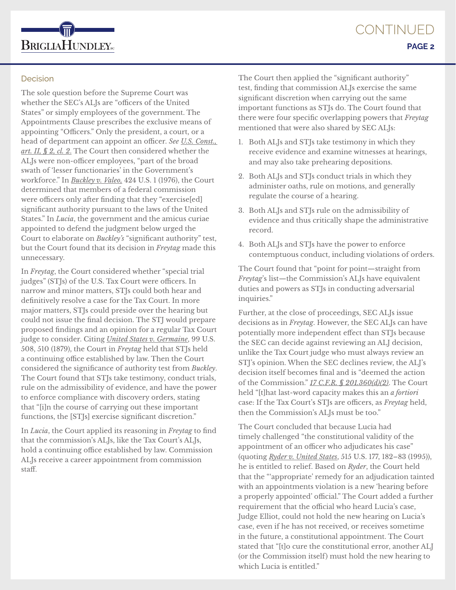

# **Decision**

The sole question before the Supreme Court was whether the SEC's ALJs are "officers of the United States" or simply employees of the government. The Appointments Clause prescribes the exclusive means of appointing "Officers." Only the president, a court, or a head of department can appoint an officer. *See U.S. Const., art. II, § 2, cl. 2*. The Court then considered whether the ALJs were non-officer employees, "part of the broad swath of 'lesser functionaries' in the Government's workforce." In *Buckley v. Valeo,* 424 U.S. 1 (1976), the Court determined that members of a federal commission were officers only after finding that they "exercise[ed] significant authority pursuant to the laws of the United States." In *Lucia*, the government and the amicus curiae appointed to defend the judgment below urged the Court to elaborate on *Buckley's* "significant authority" test, but the Court found that its decision in *Freytag* made this unnecessary.

In *Freytag*, the Court considered whether "special trial judges" (STJs) of the U.S. Tax Court were officers. In narrow and minor matters, STJs could both hear and definitively resolve a case for the Tax Court. In more major matters, STJs could preside over the hearing but could not issue the final decision. The STJ would prepare proposed findings and an opinion for a regular Tax Court judge to consider. Citing *United States v. Germaine*, 99 U.S. 508, 510 (1879), the Court in *Freytag* held that STJs held a continuing office established by law. Then the Court considered the significance of authority test from *Buckley*. The Court found that STJs take testimony, conduct trials, rule on the admissibility of evidence, and have the power to enforce compliance with discovery orders, stating that "[i]n the course of carrying out these important functions, the [STJs] exercise significant discretion."

In *Lucia*, the Court applied its reasoning in *Freytag* to find that the commission's ALJs, like the Tax Court's ALJs, hold a continuing office established by law. Commission ALJs receive a career appointment from commission staff.

The Court then applied the "significant authority" test, finding that commission ALJs exercise the same significant discretion when carrying out the same important functions as STJs do. The Court found that there were four specific overlapping powers that *Freytag* mentioned that were also shared by SEC ALJs:

- 1. Both ALJs and STJs take testimony in which they receive evidence and examine witnesses at hearings, and may also take prehearing depositions.
- 2. Both ALJs and STJs conduct trials in which they administer oaths, rule on motions, and generally regulate the course of a hearing.
- 3. Both ALJs and STJs rule on the admissibility of evidence and thus critically shape the administrative record.
- 4. Both ALJs and STJs have the power to enforce contemptuous conduct, including violations of orders.

The Court found that "point for point—straight from *Freytag*'s list—the Commission's ALJs have equivalent duties and powers as STJs in conducting adversarial inquiries."

Further, at the close of proceedings, SEC ALJs issue decisions as in *Freytag*. However, the SEC ALJs can have potentially more independent effect than STJs because the SEC can decide against reviewing an ALJ decision, unlike the Tax Court judge who must always review an STJ's opinion. When the SEC declines review, the ALJ's decision itself becomes final and is "deemed the action of the Commission." *17 C.F.R. § 201.360(d)(2)*. The Court held "[t]hat last-word capacity makes this an *a fortiori* case: If the Tax Court's STJs are officers, as *Freytag* held, then the Commission's ALJs must be too."

The Court concluded that because Lucia had timely challenged "the constitutional validity of the appointment of an officer who adjudicates his case" (quoting *Ryder v. United States*, 515 U.S. 177, 182–83 (1995)), he is entitled to relief. Based on *Ryder*, the Court held that the "'appropriate' remedy for an adjudication tainted with an appointments violation is a new 'hearing before a properly appointed' official." The Court added a further requirement that the official who heard Lucia's case, Judge Elliot, could not hold the new hearing on Lucia's case, even if he has not received, or receives sometime in the future, a constitutional appointment. The Court stated that "[t]o cure the constitutional error, another ALJ (or the Commission itself) must hold the new hearing to which Lucia is entitled."